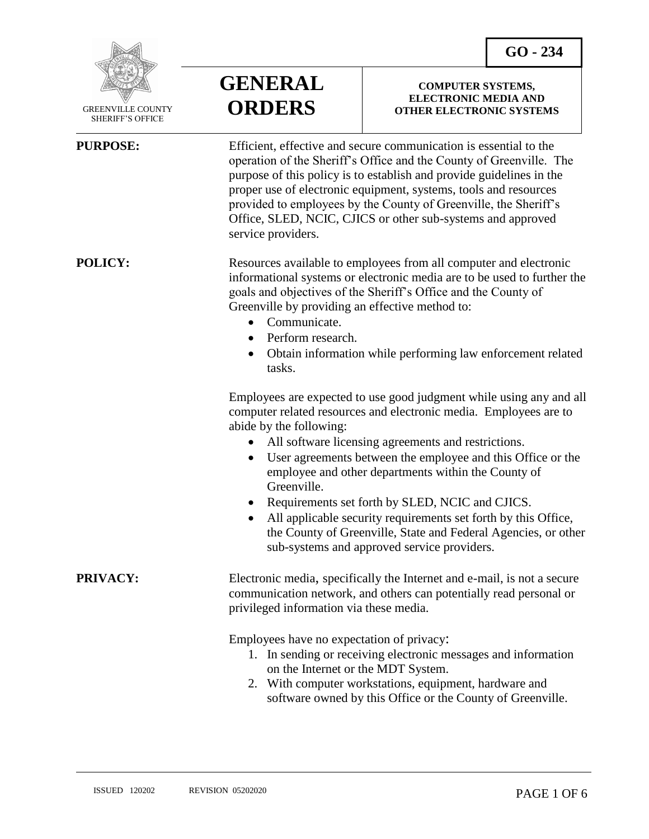

 GREENVILLE COUNTY SHERIFF'S OFFICE

 $\overline{a}$ 

**GENERAL ORDERS**

#### **COMPUTER SYSTEMS, ELECTRONIC MEDIA AND OTHER ELECTRONIC SYSTEMS**

**PURPOSE:** Efficient, effective and secure communication is essential to the operation of the Sheriff's Office and the County of Greenville. The purpose of this policy is to establish and provide guidelines in the proper use of electronic equipment, systems, tools and resources provided to employees by the County of Greenville, the Sheriff's Office, SLED, NCIC, CJICS or other sub-systems and approved service providers.

**POLICY:** Resources available to employees from all computer and electronic informational systems or electronic media are to be used to further the goals and objectives of the Sheriff's Office and the County of Greenville by providing an effective method to:

- Communicate.
- Perform research.
- Obtain information while performing law enforcement related tasks.

Employees are expected to use good judgment while using any and all computer related resources and electronic media. Employees are to abide by the following:

- All software licensing agreements and restrictions.
- User agreements between the employee and this Office or the employee and other departments within the County of Greenville.
- Requirements set forth by SLED, NCIC and CJICS.
- All applicable security requirements set forth by this Office, the County of Greenville, State and Federal Agencies, or other sub-systems and approved service providers.

**PRIVACY:** Electronic media, specifically the Internet and e-mail, is not a secure communication network, and others can potentially read personal or privileged information via these media.

Employees have no expectation of privacy:

- 1. In sending or receiving electronic messages and information on the Internet or the MDT System.
- 2. With computer workstations, equipment, hardware and software owned by this Office or the County of Greenville.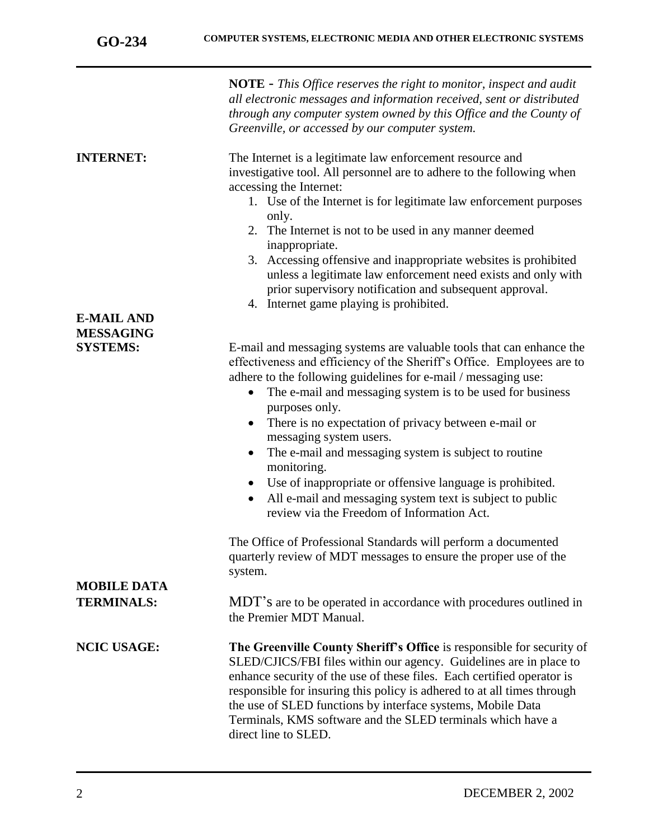|                                                          | <b>NOTE</b> - This Office reserves the right to monitor, inspect and audit<br>all electronic messages and information received, sent or distributed<br>through any computer system owned by this Office and the County of<br>Greenville, or accessed by our computer system.                                                                                                                                                                                                                                                                                                                                                 |
|----------------------------------------------------------|------------------------------------------------------------------------------------------------------------------------------------------------------------------------------------------------------------------------------------------------------------------------------------------------------------------------------------------------------------------------------------------------------------------------------------------------------------------------------------------------------------------------------------------------------------------------------------------------------------------------------|
| <b>INTERNET:</b>                                         | The Internet is a legitimate law enforcement resource and<br>investigative tool. All personnel are to adhere to the following when<br>accessing the Internet:<br>1. Use of the Internet is for legitimate law enforcement purposes<br>only.<br>2. The Internet is not to be used in any manner deemed<br>inappropriate.<br>3. Accessing offensive and inappropriate websites is prohibited<br>unless a legitimate law enforcement need exists and only with<br>prior supervisory notification and subsequent approval.<br>4. Internet game playing is prohibited.                                                            |
| <b>E-MAIL AND</b><br><b>MESSAGING</b><br><b>SYSTEMS:</b> | E-mail and messaging systems are valuable tools that can enhance the                                                                                                                                                                                                                                                                                                                                                                                                                                                                                                                                                         |
|                                                          | effectiveness and efficiency of the Sheriff's Office. Employees are to<br>adhere to the following guidelines for e-mail / messaging use:<br>The e-mail and messaging system is to be used for business<br>$\bullet$<br>purposes only.<br>There is no expectation of privacy between e-mail or<br>$\bullet$<br>messaging system users.<br>The e-mail and messaging system is subject to routine<br>$\bullet$<br>monitoring.<br>Use of inappropriate or offensive language is prohibited.<br>$\bullet$<br>All e-mail and messaging system text is subject to public<br>$\bullet$<br>review via the Freedom of Information Act. |
|                                                          | The Office of Professional Standards will perform a documented<br>quarterly review of MDT messages to ensure the proper use of the<br>system.                                                                                                                                                                                                                                                                                                                                                                                                                                                                                |
| <b>MOBILE DATA</b><br><b>TERMINALS:</b>                  | MDT's are to be operated in accordance with procedures outlined in<br>the Premier MDT Manual.                                                                                                                                                                                                                                                                                                                                                                                                                                                                                                                                |
| <b>NCIC USAGE:</b>                                       | The Greenville County Sheriff's Office is responsible for security of<br>SLED/CJICS/FBI files within our agency. Guidelines are in place to<br>enhance security of the use of these files. Each certified operator is<br>responsible for insuring this policy is adhered to at all times through<br>the use of SLED functions by interface systems, Mobile Data<br>Terminals, KMS software and the SLED terminals which have a<br>direct line to SLED.                                                                                                                                                                       |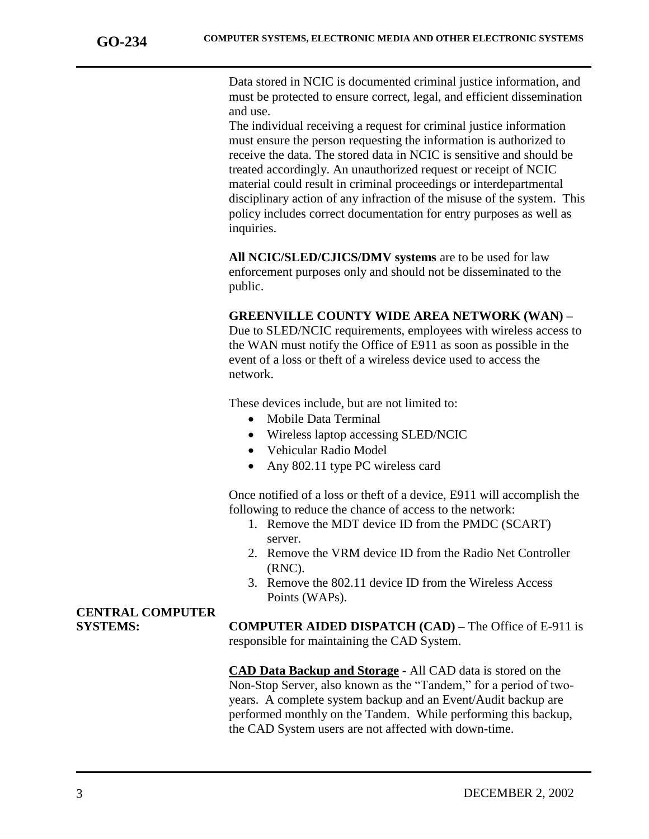Data stored in NCIC is documented criminal justice information, and must be protected to ensure correct, legal, and efficient dissemination and use.

The individual receiving a request for criminal justice information must ensure the person requesting the information is authorized to receive the data. The stored data in NCIC is sensitive and should be treated accordingly. An unauthorized request or receipt of NCIC material could result in criminal proceedings or interdepartmental disciplinary action of any infraction of the misuse of the system. This policy includes correct documentation for entry purposes as well as inquiries.

**All NCIC/SLED/CJICS/DMV systems** are to be used for law enforcement purposes only and should not be disseminated to the public.

### **GREENVILLE COUNTY WIDE AREA NETWORK (WAN) –**

Due to SLED/NCIC requirements, employees with wireless access to the WAN must notify the Office of E911 as soon as possible in the event of a loss or theft of a wireless device used to access the network.

These devices include, but are not limited to:

- Mobile Data Terminal
- Wireless laptop accessing SLED/NCIC
- Vehicular Radio Model
- Any 802.11 type PC wireless card

Once notified of a loss or theft of a device, E911 will accomplish the following to reduce the chance of access to the network:

- 1. Remove the MDT device ID from the PMDC (SCART) server.
- 2. Remove the VRM device ID from the Radio Net Controller (RNC).
- 3. Remove the 802.11 device ID from the Wireless Access Points (WAPs).

# **CENTRAL COMPUTER**

**SYSTEMS: COMPUTER AIDED DISPATCH (CAD) –** The Office of E-911 is responsible for maintaining the CAD System.

> **CAD Data Backup and Storage -** All CAD data is stored on the Non-Stop Server, also known as the "Tandem," for a period of twoyears. A complete system backup and an Event/Audit backup are performed monthly on the Tandem. While performing this backup, the CAD System users are not affected with down-time.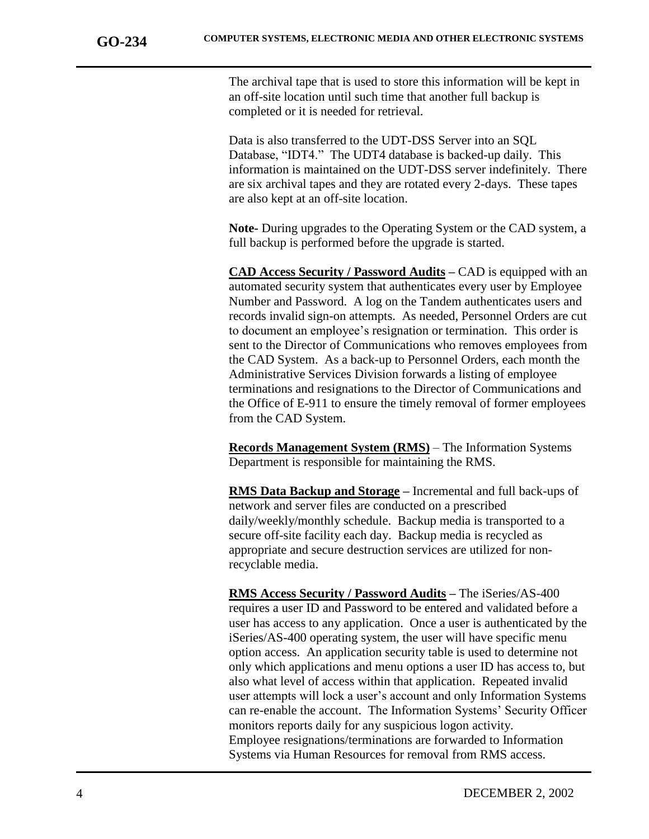The archival tape that is used to store this information will be kept in an off-site location until such time that another full backup is completed or it is needed for retrieval.

Data is also transferred to the UDT-DSS Server into an SQL Database, "IDT4." The UDT4 database is backed-up daily. This information is maintained on the UDT-DSS server indefinitely. There are six archival tapes and they are rotated every 2-days. These tapes are also kept at an off-site location.

**Note-** During upgrades to the Operating System or the CAD system, a full backup is performed before the upgrade is started.

**CAD Access Security / Password Audits –** CAD is equipped with an automated security system that authenticates every user by Employee Number and Password. A log on the Tandem authenticates users and records invalid sign-on attempts. As needed, Personnel Orders are cut to document an employee's resignation or termination. This order is sent to the Director of Communications who removes employees from the CAD System. As a back-up to Personnel Orders, each month the Administrative Services Division forwards a listing of employee terminations and resignations to the Director of Communications and the Office of E-911 to ensure the timely removal of former employees from the CAD System.

**Records Management System (RMS)** – The Information Systems Department is responsible for maintaining the RMS.

**RMS Data Backup and Storage –** Incremental and full back-ups of network and server files are conducted on a prescribed daily/weekly/monthly schedule. Backup media is transported to a secure off-site facility each day. Backup media is recycled as appropriate and secure destruction services are utilized for nonrecyclable media.

**RMS Access Security / Password Audits –** The iSeries/AS-400 requires a user ID and Password to be entered and validated before a user has access to any application. Once a user is authenticated by the iSeries/AS-400 operating system, the user will have specific menu option access. An application security table is used to determine not only which applications and menu options a user ID has access to, but also what level of access within that application. Repeated invalid user attempts will lock a user's account and only Information Systems can re-enable the account. The Information Systems' Security Officer monitors reports daily for any suspicious logon activity. Employee resignations/terminations are forwarded to Information Systems via Human Resources for removal from RMS access.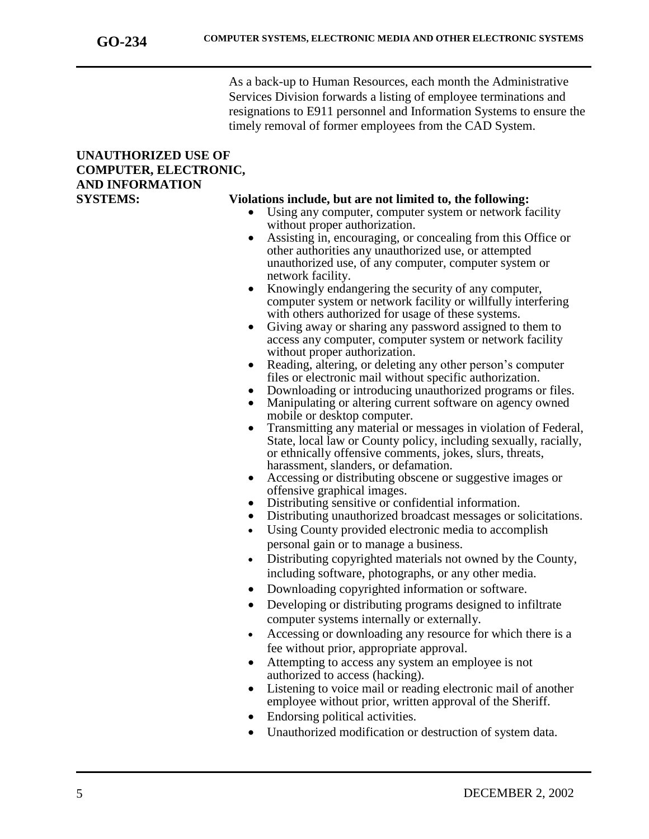As a back-up to Human Resources, each month the Administrative Services Division forwards a listing of employee terminations and resignations to E911 personnel and Information Systems to ensure the timely removal of former employees from the CAD System.

### **UNAUTHORIZED USE OF COMPUTER, ELECTRONIC, AND INFORMATION**

### **SYSTEMS: Violations include, but are not limited to, the following:**

- Using any computer, computer system or network facility without proper authorization.
- Assisting in, encouraging, or concealing from this Office or other authorities any unauthorized use, or attempted unauthorized use, of any computer, computer system or network facility.
- Knowingly endangering the security of any computer, computer system or network facility or willfully interfering with others authorized for usage of these systems.
- Giving away or sharing any password assigned to them to access any computer, computer system or network facility without proper authorization.
- Reading, altering, or deleting any other person's computer files or electronic mail without specific authorization.
- Downloading or introducing unauthorized programs or files.
- Manipulating or altering current software on agency owned mobile or desktop computer.
- Transmitting any material or messages in violation of Federal, State, local law or County policy, including sexually, racially, or ethnically offensive comments, jokes, slurs, threats, harassment, slanders, or defamation.
- Accessing or distributing obscene or suggestive images or offensive graphical images.
- Distributing sensitive or confidential information.
- Distributing unauthorized broadcast messages or solicitations.
- Using County provided electronic media to accomplish personal gain or to manage a business.
- Distributing copyrighted materials not owned by the County, including software, photographs, or any other media.
- Downloading copyrighted information or software.
- Developing or distributing programs designed to infiltrate computer systems internally or externally.
- Accessing or downloading any resource for which there is a fee without prior, appropriate approval.
- Attempting to access any system an employee is not authorized to access (hacking).
- Listening to voice mail or reading electronic mail of another employee without prior, written approval of the Sheriff.
- Endorsing political activities.
- Unauthorized modification or destruction of system data.